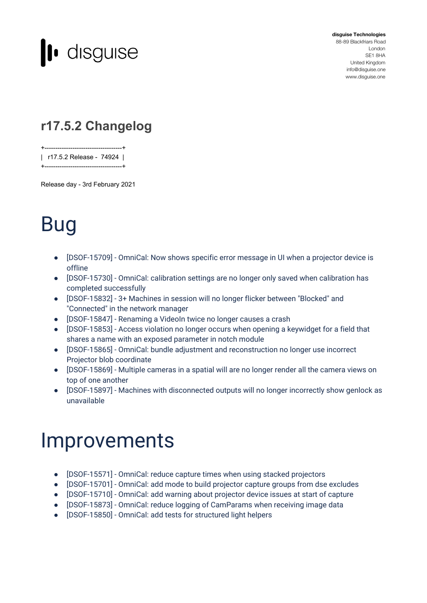

**disguise Technologies** 88-89 Blackfriars Road London SE1 8HA United Kingdom [info@disguise.one](mailto:info@disguise.one?subject=) www.disguise.one

#### **r17.5.2 Changelog**

+------------------------------------+ | r17.5.2 Release - 74924 |

Release day - 3rd February 2021

+------------------------------------+

## Bug

- [DSOF-15709] OmniCal: Now shows specific error message in UI when a projector device is offline
- [DSOF-15730] OmniCal: calibration settings are no longer only saved when calibration has completed successfully
- [DSOF-15832] 3+ Machines in session will no longer flicker between "Blocked" and "Connected" in the network manager
- [DSOF-15847] Renaming a VideoIn twice no longer causes a crash
- [DSOF-15853] Access violation no longer occurs when opening a keywidget for a field that shares a name with an exposed parameter in notch module
- [DSOF-15865] OmniCal: bundle adjustment and reconstruction no longer use incorrect Projector blob coordinate
- [DSOF-15869] Multiple cameras in a spatial will are no longer render all the camera views on top of one another
- [DSOF-15897] Machines with disconnected outputs will no longer incorrectly show genlock as unavailable

### Improvements

- [DSOF-15571] OmniCal: reduce capture times when using stacked projectors
- [DSOF-15701] OmniCal: add mode to build projector capture groups from dse excludes
- [DSOF-15710] OmniCal: add warning about projector device issues at start of capture
- [DSOF-15873] OmniCal: reduce logging of CamParams when receiving image data
- [DSOF-15850] OmniCal: add tests for structured light helpers